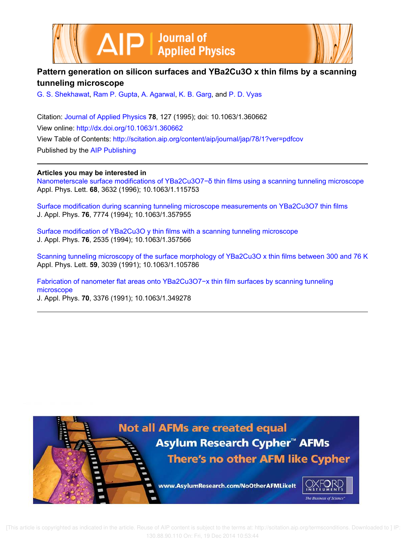



# **Pattern generation on silicon surfaces and YBa2Cu3O x thin films by a scanning tunneling microscope**

G. S. Shekhawat, Ram P. Gupta, A. Agarwal, K. B. Garg, and P. D. Vyas

Citation: Journal of Applied Physics **78**, 127 (1995); doi: 10.1063/1.360662 View online: http://dx.doi.org/10.1063/1.360662 View Table of Contents: http://scitation.aip.org/content/aip/journal/jap/78/1?ver=pdfcov Published by the AIP Publishing

**Articles you may be interested in**

Nanometerscale surface modifications of YBa2Cu3O7−δ thin films using a scanning tunneling microscope Appl. Phys. Lett. **68**, 3632 (1996); 10.1063/1.115753

Surface modification during scanning tunneling microscope measurements on YBa2Cu3O7 thin films J. Appl. Phys. **76**, 7774 (1994); 10.1063/1.357955

Surface modification of YBa2Cu3O y thin films with a scanning tunneling microscope J. Appl. Phys. **76**, 2535 (1994); 10.1063/1.357566

Scanning tunneling microscopy of the surface morphology of YBa2Cu3O x thin films between 300 and 76 K Appl. Phys. Lett. **59**, 3039 (1991); 10.1063/1.105786

Fabrication of nanometer flat areas onto YBa2Cu3O7−x thin film surfaces by scanning tunneling microscope J. Appl. Phys. **70**, 3376 (1991); 10.1063/1.349278

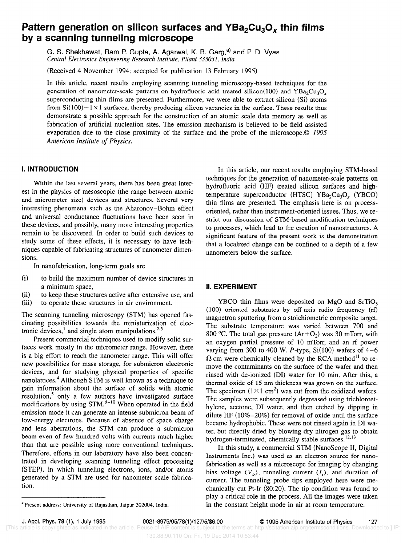# Pattern generation on silicon surfaces and  $YBa<sub>2</sub>Cu<sub>3</sub>O<sub>x</sub>$  thin films by a scanning tunneling microscope

G. S. Shekhawat, Ram P. Gupta, A. Agarwal, K. B. Garg,<sup>a)</sup> and P. D. Vyas Central Electronics Engineering Research Institute, Pilani 333031, India

(Received 4 November 1994; accepted for publication 13 February 1995)

In this article, recent results employing scanning tunneling microscopy-based techniques for the generation of nanometer-scale patterns on hydrofluoric acid treated silicon(100) and  $YBa<sub>2</sub>Cu<sub>3</sub>O<sub>r</sub>$ superconducting thin films are presented. Furthermore, we were able to extract silicon (Si) atoms from  $Si(100) - 1 \times 1$  surfaces, thereby producing silicon vacancies in the surface. These results thus demonstrate a possible approach for the construction of an atomic scale data memory as well as fabrication of artificial nucleation sites. The emission mechanism is believed to be field assisted evaporation due to the close proximity of the surface and the probe of the microscope.© 1995 American Institute of Physics.

### I. INTRODUCTION

Within the last several years, there has been great interest in the physics of mesoscopic (the range between atomic and micrometer size) devices and structures. Several very interesting phenomena such as the Aharonov-Bohm effect and universal conductance fluctuations have been seen in these devices, and possibly, many more interesting properties remain to be discovered. In order to build such devices to study some of these effects, it is necessary to have techniques capable of fabricating structures of nanometer dimensions.

In nanofabrication, long-term goals are

- (i) to build the maximum number of device structures in a minimum space,
- (ii) to keep these structures active after extensive use, and<br>(iii) to operate these structures in air environment.
- to operate these structures in air environment.

The scanning tunneling microscopy (STM) has opened fascinating possibilities towards the miniaturization of electronic devices,<sup>1</sup> and single atom manipulations.<sup>2,3</sup>

Present commercial techniques used to modify solid surfaces work mostly in the micrometer range. However, there is a big effort to reach the nanometer range. This will offer new possibilities for mass storage, for submicron electronic devices, and for studying physical properties of specific nanolattices.<sup>4</sup> Although STM is well known as a technique to gain information about the surface of solids with atomic resolution,<sup>5</sup> only a few authors have investigated surface modifications by using  $STM.<sup>6-10</sup>$  When operated in the field emission mode it can generate an intense submicron beam of low-energy electrons. Because of absence of space charge and lens aberrations, the STM can produce a submicron beam even of few hundred volts with currents much higher than that are possible using more conventional techniques. Therefore, efforts in our laboratory have also been concentrated in developing scanning tunneling effect processing (STEP), in which tunneling electrons, ions, and/or atoms generated by a STM are used for nanometer scale fabrication.

In this article, our recent results employing STM-based techniques for the generation of nanometer-scale patterns on hydrofluoric acid (HF) treated silicon surfaces and hightemperature superconductor (HTSC)  $YBa<sub>2</sub>Cu<sub>3</sub>O<sub>r</sub>$  (YBCO) thin films are presented. The emphasis here is on processoriented, rather than instrument-oriented issues. Thus, we restrict our discussion of STM-based modification techniques to processes, which lead to the creation of nanostructures. A significant feature of the present work is the demonstration that a localized change can be confined to a depth of a few nanometers below the surface.

## II. EXPERIMENT

YBCO thin films were deposited on MgO and SrTiO,  $(100)$  oriented substrates by off-axis radio frequency  $(rf)$ magnetron sputtering from a stoichiometric composite target. The substrate temperature was varied between 700 and 800 °C. The total gas pressure  $(Ar+O_2)$  was 30 mTorr, with an oxygen partial pressure of 10 mTorr, and an rf power varying from 300 to 400 W. P-type,  $Si(100)$  wafers of 4-6  $\Omega$  cm were chemically cleaned by the RCA method<sup>11</sup> to remove the contaminants on the surface of the wafer and then rinsed with de-ionized (DI) water for 10 min. After this, a thermal oxide of 15 nm thickness was grown on the surface. The specimen  $(1 \times 1 \text{ cm}^2)$  was cut from the oxidized wafers. The samples were subsequently degreased using trichloroethylene, acetone, DI water, and then etched by dipping in dilute HF  $(10\% - 20\%)$  for removal of oxide until the surface became hydrophobic. These were not rinsed again in DI water, but directly dried by blowing dry nitrogen gas to obtain hydrogen-terminated, chemically stable surfaces.<sup>12,13</sup>

In this study, a commercial STM (NanoScope II, Digital Instruments Inc.) was used as an electron source for nanofabrication as well as a microscope for imaging by changing bias voltage  $(V_h)$ , tunneling current  $(I_t)$ , and duration of current. The tunneling probe tips employed here were mechanically cut Pt-Ir (80:20). The tip condition was found to play a critical role in the process. All the images were taken in the constant height mode in air at room temperature.

<sup>&</sup>lt;sup>a</sup>'Present address: University of Rajasthan, Jaipur 302004, India.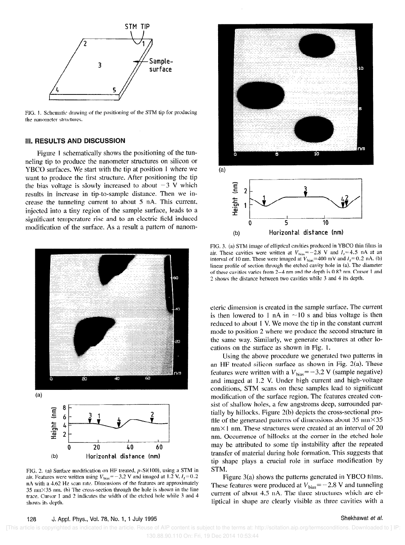

FIG. 1. Schematic drawing of the positioning of the STM tip for producing the nanometer structures,

#### iii. RESULTS AND DISCUSSION

Figure 1 schematically shows the positioning of the tunneling tip to produce the nanometer structures on silicon or YBCO surfaces. We start with the tip at position 1 where we want to produce the first structure. After positioning the tip the bias voltage is slowly increased to about  $-3$  V which results in increase in tip-to-sample distance. Then we increase the tunneling current to about 5 nA. This current, injected into a tiny region of the sample surface, leads to a significant temperature rise and to an electric field induced moditication of the surface. As a result a pattern of nanom-



FIG, 2. ta) Surface modification on HF treated,  $p$ -Si $(100)$ , using a STM in air. Features were written using  $V_{bias} = -3.2$  V and imaged at 1.2 V,  $I_t = 0.2$ nA with a 4.62 Hz scan rate. Dimensions of the features are approximately  $35$  nm $\times$   $35$  nm. (b) The cross-section through the hole is shown in the line trace. Cursor 1 and 2 indicates the width of the etched hole while 3 and 4 shows its depth.



FIG. 3. (a) STM image of elliptical cavities produced in YBCO thin films in air. These cavities were written at  $V_{\text{bias}} = -2.8$  V and  $I_t = 4.5$  nA at an interval of 10 nm. These were imaged at  $V_{\text{bias}}$ =400 mV and  $I_t$ =0.2 nA. (b) linear profile of section through the etched cavity hole in (a). The diameter of these cavities varies from  $2-4$  nm and the depth is 0.82 nm. Cursor 1 and 2 shows the distance between two cavities while 3 and 4 its depth.

eteric dimension is created in the sample surface. The current is then lowered to 1 nA in  $\sim$ 10 s and bias voltage is then reduced to about I V. We move the tip in the constant current mode to position 2 where we produce the second structure in the same way. Similarly, we generate structures at other locations on the surface as shown in Fig. 1.

Using the above procedure we generated two patterns in an HF treated silicon surface as shown in Fig. 2(a). These features were written with a  $V_{bias} = -3.2$  V (sample negative) and imaged at 1.2 V. Under high current and high-voltage conditions, STM scans on these samples lead to significant modification of the surface region. The features created consist of shallow holes, a few angstroms deep, surrounded partially by hillocks. Figure Z(b) depicts the cross-sectional profile of the generated patterns of dimensions about  $35 \text{ nm} \times 35$  $nm \times 1$  nm. These structures were created at an interval of 20 nm. Occurrence of hillocks at the corner in the etched hole may be attributed to some tip instability after the repeated transfer of material during hole formation. This suggests that tip shape plays a crucial role in surface modification by STM.

Figure  $3(a)$  shows the patterns generated in YBCO films. These features were produced at  $V_{bias} = -2.8$  V and tunneling current of about 4.5 nA. The three structures which are elliptical in shape arc clearly visible as three cavities with a

128 J. Appl. Phys., Vol. 78, No. 1, 1 July 1995 Shekhawat et al.

 [This article is copyrighted as indicated in the article. Reuse of AIP content is subject to the terms at: http://scitation.aip.org/termsconditions. Downloaded to ] IP: 130.88.90.110 On: Fri, 19 Dec 2014 10:53:44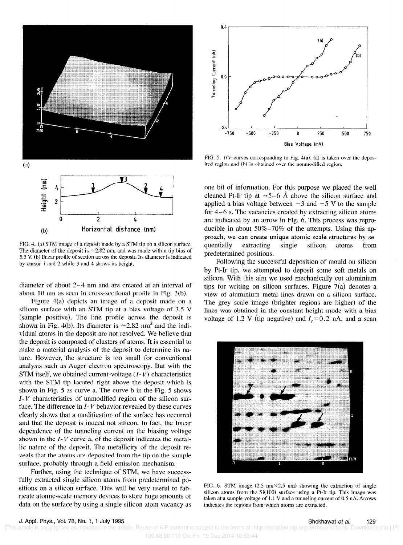

FIG, 4. (a) STM image of a deposit made by a STM tip on a silicon surface. The diameter of the deposit is  $\approx 2.82$  nm, and was made with a tip bias of  $3.5$  V. (b) linear profile of section across the deposit. Its diameter is indicated by cursor 1 and 2 while 3 and 4 shows its height.

diameter of about  $2-4$  nm and are created at an interval of about IO mn as seen in cross-sectional profile in Fig. 3(b).

Figure  $4(a)$  depicts an image of a deposit made on a silicon surface with an STM tip at a bias voltage of  $3.5$  V (sample positive). The line profile across the deposit is shown in Fig. 4(b). Its diameter is  $\approx 2.82$  nm<sup>2</sup> and the individual atoms in the deposit are not resolved. We believe that the deposit is composed of clusters of atoms. It is essential to make a material analysis of the deposit to determine its nature. However, the structure is too small for conventional analysis such as Auger electron spectroscopy. But with the STM itself, we obtained current-voltage  $(I-V)$  characteristics with the STM tip located right above the deposit which is shown in Fig. 5 as curve a. The curve b in the Fig. 5 shows  $I-V$  characteristics of unmodified region of the silicon surface. The difference in  $I-V$  behavior revealed by these curves clearly shows that a modification of the surface has occurred and that the deposit is indeed not silicon. In fact, the linear dependence of the tunneling current on the biasing voltage shown in the  $I-V$  curve a, of the deposit indicates the metallic nature of the deposit. The metallicity of the deposit reveals that the atoms are deposited from the tip on the sample surface, probably through a field emission mechanism.

Further, using the technique of STM, we have successfully extracted single silicon atoms from predetermined positions on a silicon surface. This will be very useful to fabricate atomic-scale memory devices to store huge amounts of data on the surface by using a single silicon atom vacancy as



FIG. 5.  $\textit{IV}$  curves corresponding to Fig. 4(a). (a) is taken over the deposited region and (b) is obtained over the nonmodified region.

one bit of information. For this purpose we placed the well cleaned Pt-Ir tip at  $\approx$  5-6 Å above the silicon surface and applied a bias voltage between  $-3$  and  $-5$  V to the sample for  $4-6$  s. The vacancies created by extracting silicon atoms are indicated by an arrow in Pig. 6. This process was reproducible in about  $50\% - 70\%$  of the attempts. Using this approach, we can create unique atomic-scale structures by sequentially extracting single silicon atoms from predetermined positions.

Following the successful deposition of mould on silicon by Pt-Ir tip, we attempted to deposit some soft metals on silicon. With this aim we used mechanically cut aluminium tips for writing on silicon surfaces. Figure 7(a) denotes a view of aluminium metal lines drawn on a silicon surface. The grey scale image (brighter regions are higher) of the lines was obtained in the constant height mode with a bias voltage of 1.2 V (tip negative) and  $I_t = 0.2$  nA, and a scan



FIG. 6. STM image  $(2.5 \text{ nm} \times 2.5 \text{ nm})$  showing the extraction of single silicon atoms from the  $Si(100)$  surface using a Pt-Ir tip. This image was taken at a sample voltage of  $1.1$  V and a tunneling current of 0.5 nA. Arrows indicates the regions from which atoms are extracted.

130.88.90.110 On: Fri, 19 Dec 2014 10:53:44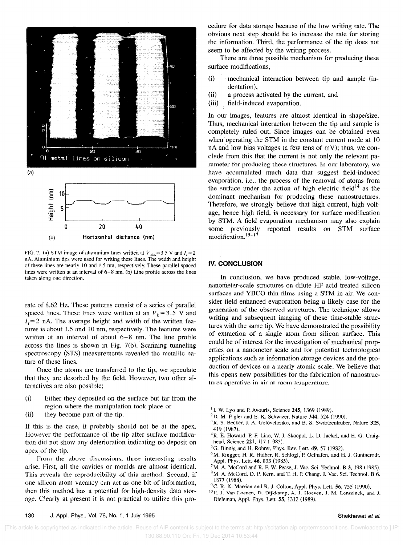

FIG. 7. (a) STM image of aluminium lines written at  $V_{bias} = 3.5$  V and  $I_i = 2$ nA. Aluminium tips were used for writing these lines. The width and height af these lines are nearly 10 and I .S nm, respectively. These parallel spaced lines were written at an interval of  $6-8$  nm. (b) Line profile across the lines taken along one direction.

rate of 8.62 Hz. These patterns consist of a series of parallel spaced lines. These lines were written at an  $V_b = 3.5$  V and  $I_t$ =2 nA. The average height and width of the written features is about 1.5 and 10 nm, respectively. The features were written at an interval of about 6-8 nm. The line profile across the lines is shown in Fig. 7(b). Scanning tunneling spectroscopy (STS) measurements revealed the metallic naturc of these lines.

Once the atoms are transferred to the tip, we speculate that they are desorbed by the field. However, two other alternatives are also possible;

- ii) Either they deposited on the surface but far from the region where the manipulation took place or
- iii) they become part of the tip.

If this is the case, it probably should not be at the apex. However the performance of the tip after surface modification did not show any deterioration indicating no deposit on apex of the tip.

From the above discussions, three interesting results arise. First, all the cavities or rnoulds are almost identical. This reveals the reproducibility of this method. Second, if one silicon atom vacancy can act as one bit of information, then this method has a potential for high-density data storage. Clearly at present it is not practical to utilize this procedure for data storage because of the low writing rate. The obvious next step should be to increase the rate for storing the information. Third, the performance of the tip does not seem to be affected by the writing process.

There are three possible mechanism for producing these surface modifications,

- ii) mechanical interaction between tip and sample (indentation),
- (ii) a process activated by the current, and
- iiii) field-induced evaporation.

In our images, features are almost identical in shape/size. Thus, mechanical interaction between the tip and sample is completely ruled out. Since images can be obtained even when operating the STM in the constant current mode at 10 nA and low bias voltages (a few tens of mV): thus, we conclude from this that the current is not only the relevant parameter for producing these structures. In our laboratory, we have accumulated much data that suggest field-induced evaporation, i.e., the process of the removal of atoms from the surface under the action of high electric field<sup>14</sup> as the dominant mechanism for producing these nanostructures. Therefore, we strongly believe that high current, high voltage, hence high field, is necessary for surface modification by STM. A field evaporation mechanism may also explain some previously reported results on STM surface modification.<sup>15-17</sup>

### **IV. CONCLUSION**

In conclusion, we have produced stable, low-voltage, nanometer-scale structures on dilute HF acid treated silicon surfaces and YBCO thin films using a STM in air. We consider field enhanced evaporation being a likely case for the generation of the observed structures. The technique allows writing and subsequent imaging of these time-stable structures with the same tip. We have demonstrated the possibility of extraction of a single atom from silicon surface. This could be of interest for the investigation of mechanical properties on a nanometer scale and for potential technological applications such as information storage devices and the production of devices on a nearly atomic scale. We believe that this opens new possibilities for the fabrication of nanostructures operative in air at room temperature.

- <sup>1</sup> I. W. Lyo and P. Avouris, Science  $245$ , 1369 (1989).
- $2$ D. M. Eigler and E. K. Schwizer, Nature 344, 524 (1990).
- <sup>3</sup>R. S. Becker, J. A. Golovchenko, and B. S. Swartzentruber, Nature 325, 419 (1987).
- <sup>4</sup> R. E. Howard, P. F. Liao, W. J. Skocpol, L. D. Jackel, and H. G. Craighead, Science 221, 117 (1983).
- <sup>5</sup>G. Binnig and H, Rohrer, Phys. Rev. Lett. 49, 57 (1982).
- <sup>6</sup>M. Ringger, H. R. Hidber, R. Schlogl, P. Oelhafen, and H. J. Guntherodt, Appl. Phys. Lett. 46, 833 (1985).
- ${}^{7}$ M. A. McCord and R. F. W. Pease, J. Vac. Sci. Technol. B 3, 198 (1985).  ${}^{8}$ M. A. McCord, D. P. Kern, and T. H. P. Chang, J. Vac. Sci. Technol. B 6,
- 1877 (1988).
- $^{9}$ C. R. K. Marrian and R. J. Colton, Appl. Phys. Lett. 56, 755 (1990).
- <sup>10</sup> E. J. Van Loenen, D. Dijkkamp, A. J. Hoeven, J. M. Lenssinck, and J. Dieleman, Appl. Phys. Lett. 55, 1312 (1989).